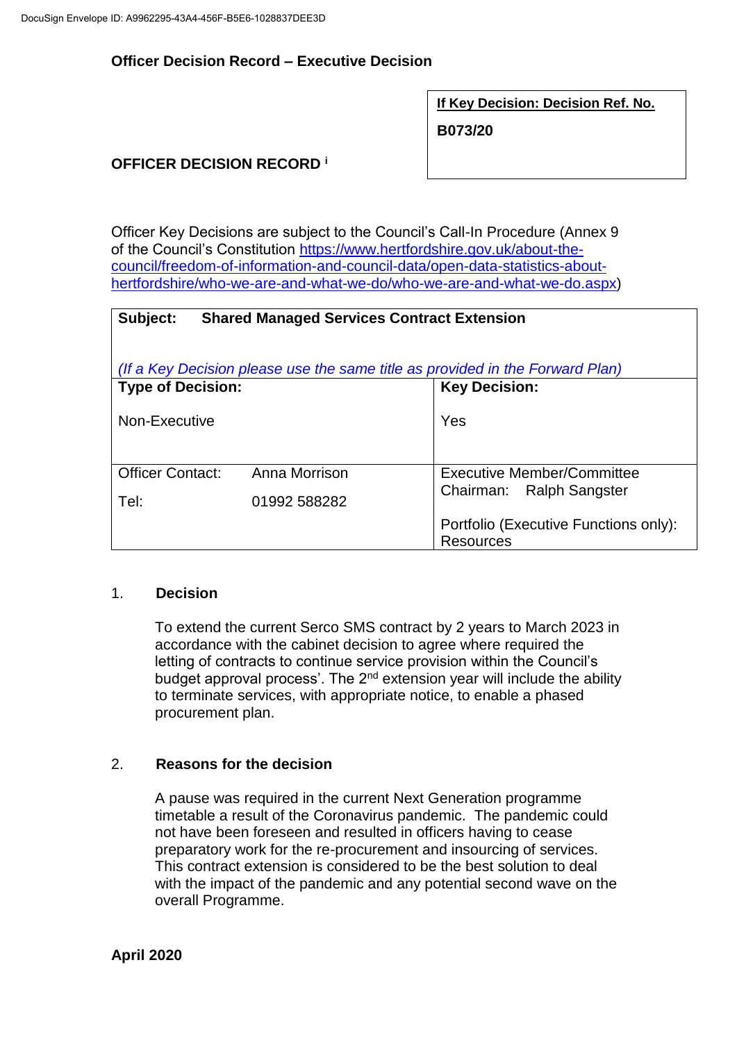## **Officer Decision Record – Executive Decision**

**If Key Decision: Decision Ref. No.**

**B073/20**

# **OFFICER DECISION RECORD <sup>i</sup>**

Officer Key Decisions are subject to the Council's Call-In Procedure (Annex 9 of the Council's Constitution [https://www.hertfordshire.gov.uk/about-the](https://www.hertfordshire.gov.uk/about-the-council/freedom-of-information-and-council-data/open-data-statistics-about-hertfordshire/who-we-are-and-what-we-do/who-we-are-and-what-we-do.aspx)[council/freedom-of-information-and-council-data/open-data-statistics-about](https://www.hertfordshire.gov.uk/about-the-council/freedom-of-information-and-council-data/open-data-statistics-about-hertfordshire/who-we-are-and-what-we-do/who-we-are-and-what-we-do.aspx)[hertfordshire/who-we-are-and-what-we-do/who-we-are-and-what-we-do.aspx\)](https://www.hertfordshire.gov.uk/about-the-council/freedom-of-information-and-council-data/open-data-statistics-about-hertfordshire/who-we-are-and-what-we-do/who-we-are-and-what-we-do.aspx)

| Subject:<br><b>Shared Managed Services Contract Extension</b>                 |               |                                                           |  |  |
|-------------------------------------------------------------------------------|---------------|-----------------------------------------------------------|--|--|
| (If a Key Decision please use the same title as provided in the Forward Plan) |               |                                                           |  |  |
| <b>Type of Decision:</b>                                                      |               | <b>Key Decision:</b>                                      |  |  |
| Non-Executive                                                                 |               | Yes                                                       |  |  |
| <b>Officer Contact:</b>                                                       | Anna Morrison | <b>Executive Member/Committee</b>                         |  |  |
| Tel:                                                                          | 01992 588282  | Chairman: Ralph Sangster                                  |  |  |
|                                                                               |               | Portfolio (Executive Functions only):<br><b>Resources</b> |  |  |

#### 1. **Decision**

To extend the current Serco SMS contract by 2 years to March 2023 in accordance with the cabinet decision to agree where required the letting of contracts to continue service provision within the Council's budget approval process'. The  $2<sup>nd</sup>$  extension year will include the ability to terminate services, with appropriate notice, to enable a phased procurement plan.

#### 2. **Reasons for the decision**

A pause was required in the current Next Generation programme timetable a result of the Coronavirus pandemic. The pandemic could not have been foreseen and resulted in officers having to cease preparatory work for the re-procurement and insourcing of services. This contract extension is considered to be the best solution to deal with the impact of the pandemic and any potential second wave on the overall Programme.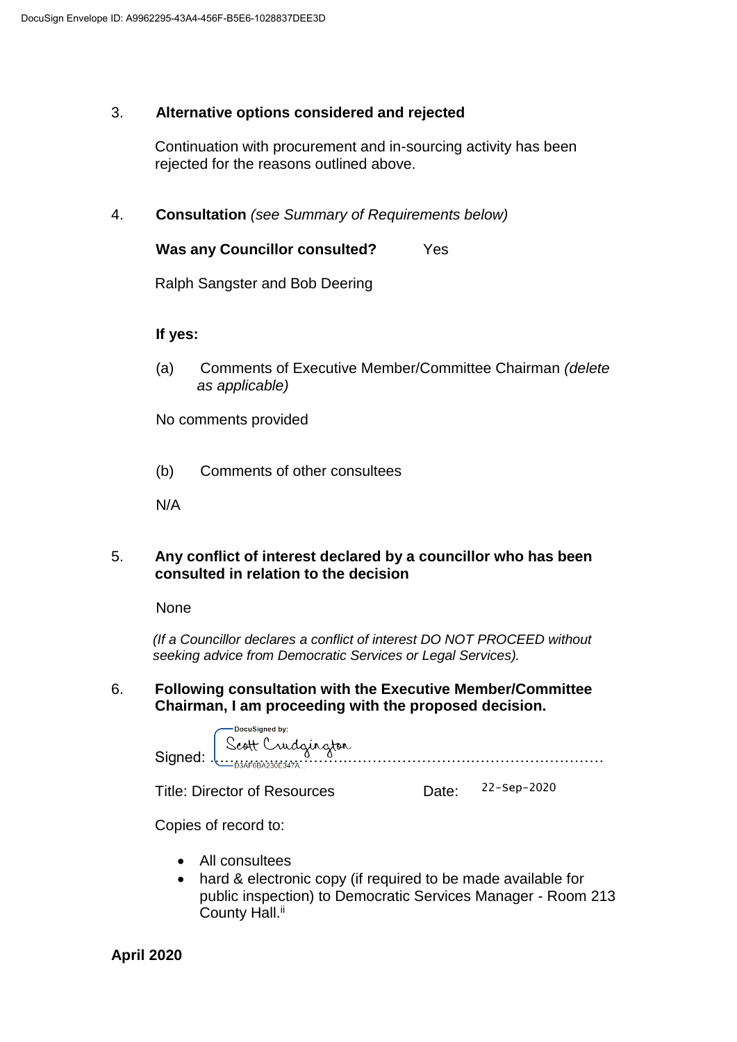# 3. **Alternative options considered and rejected**

Continuation with procurement and in-sourcing activity has been rejected for the reasons outlined above.

4. **Consultation** *(see Summary of Requirements below)*

**Was any Councillor consulted?** Yes

Ralph Sangster and Bob Deering

## **If yes:**

(a) Comments of Executive Member/Committee Chairman *(delete as applicable)*

No comments provided

(b) Comments of other consultees

N/A

## 5. **Any conflict of interest declared by a councillor who has been consulted in relation to the decision**

None

 *(If a Councillor declares a conflict of interest DO NOT PROCEED without seeking advice from Democratic Services or Legal Services).* 

## 6. **Following consultation with the Executive Member/Committee Chairman, I am proceeding with the proposed decision.**

|      | ∘DocuSigned by:     |
|------|---------------------|
| Sint | scott Crudgington   |
|      | $-03$ AF6BA230E347A |

Title: Director of Resources Date:

22-Sep-2020

Copies of record to:

- All consultees
- hard & electronic copy (if required to be made available for public inspection) to Democratic Services Manager - Room 213 County Hall.<sup>ii</sup>

**April 2020**